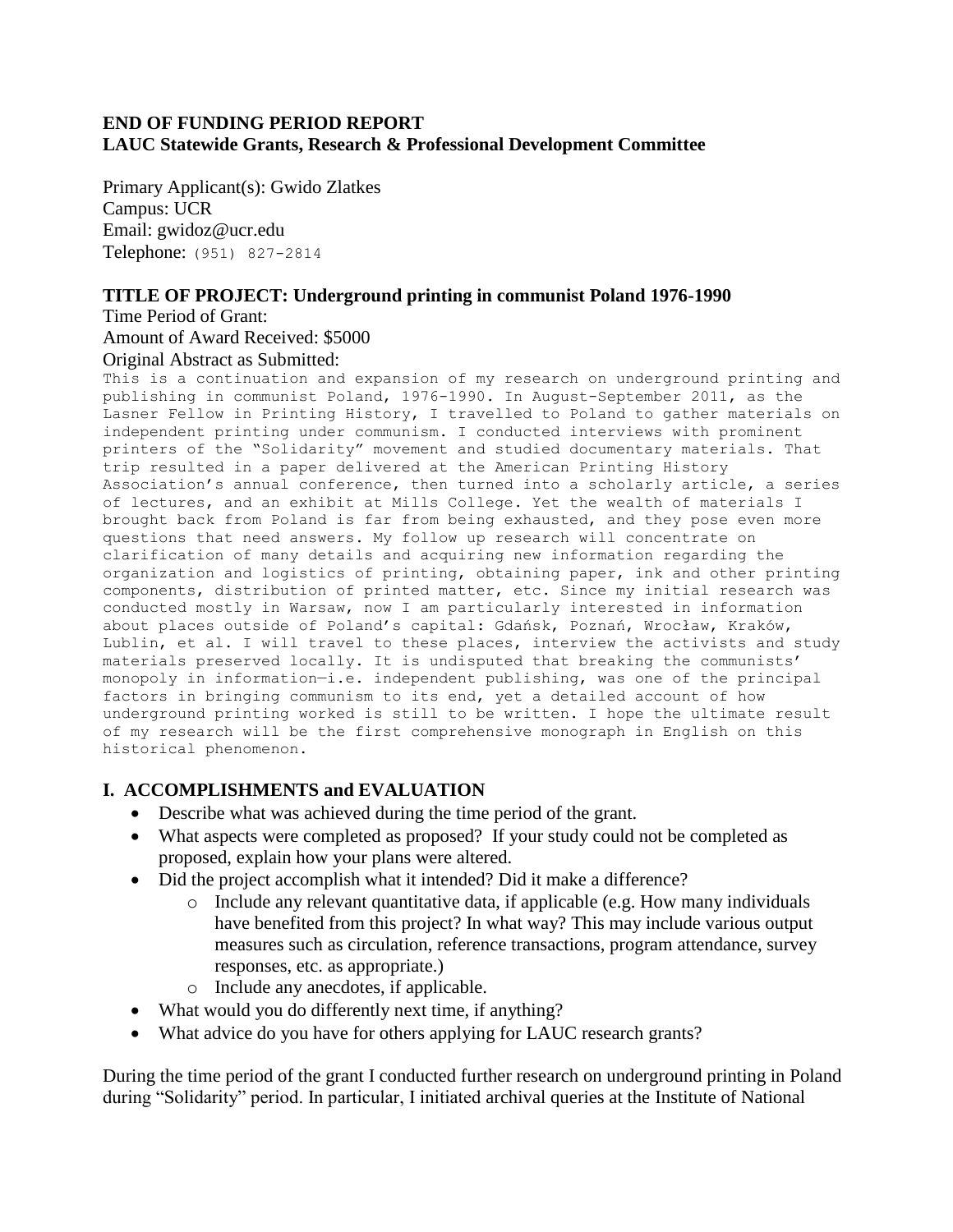### **END OF FUNDING PERIOD REPORT LAUC Statewide Grants, Research & Professional Development Committee**

Primary Applicant(s): Gwido Zlatkes Campus: UCR Email: gwidoz@ucr.edu Telephone: (951) 827-2814

### **TITLE OF PROJECT: Underground printing in communist Poland 1976-1990**

Time Period of Grant: Amount of Award Received: \$5000 Original Abstract as Submitted:

This is a continuation and expansion of my research on underground printing and publishing in communist Poland, 1976-1990. In August-September 2011, as the Lasner Fellow in Printing History, I travelled to Poland to gather materials on independent printing under communism. I conducted interviews with prominent printers of the "Solidarity" movement and studied documentary materials. That trip resulted in a paper delivered at the American Printing History Association's annual conference, then turned into a scholarly article, a series of lectures, and an exhibit at Mills College. Yet the wealth of materials I brought back from Poland is far from being exhausted, and they pose even more questions that need answers. My follow up research will concentrate on clarification of many details and acquiring new information regarding the organization and logistics of printing, obtaining paper, ink and other printing components, distribution of printed matter, etc. Since my initial research was conducted mostly in Warsaw, now I am particularly interested in information about places outside of Poland's capital: Gdańsk, Poznań, Wrocław, Kraków, Lublin, et al. I will travel to these places, interview the activists and study materials preserved locally. It is undisputed that breaking the communists' monopoly in information—i.e. independent publishing, was one of the principal factors in bringing communism to its end, yet a detailed account of how underground printing worked is still to be written. I hope the ultimate result of my research will be the first comprehensive monograph in English on this historical phenomenon.

### **I. ACCOMPLISHMENTS and EVALUATION**

- Describe what was achieved during the time period of the grant.
- What aspects were completed as proposed? If your study could not be completed as proposed, explain how your plans were altered.
- Did the project accomplish what it intended? Did it make a difference?
	- $\circ$  Include any relevant quantitative data, if applicable (e.g. How many individuals have benefited from this project? In what way? This may include various output measures such as circulation, reference transactions, program attendance, survey responses, etc. as appropriate.)
	- o Include any anecdotes, if applicable.
- What would you do differently next time, if anything?
- What advice do you have for others applying for LAUC research grants?

During the time period of the grant I conducted further research on underground printing in Poland during "Solidarity" period. In particular, I initiated archival queries at the Institute of National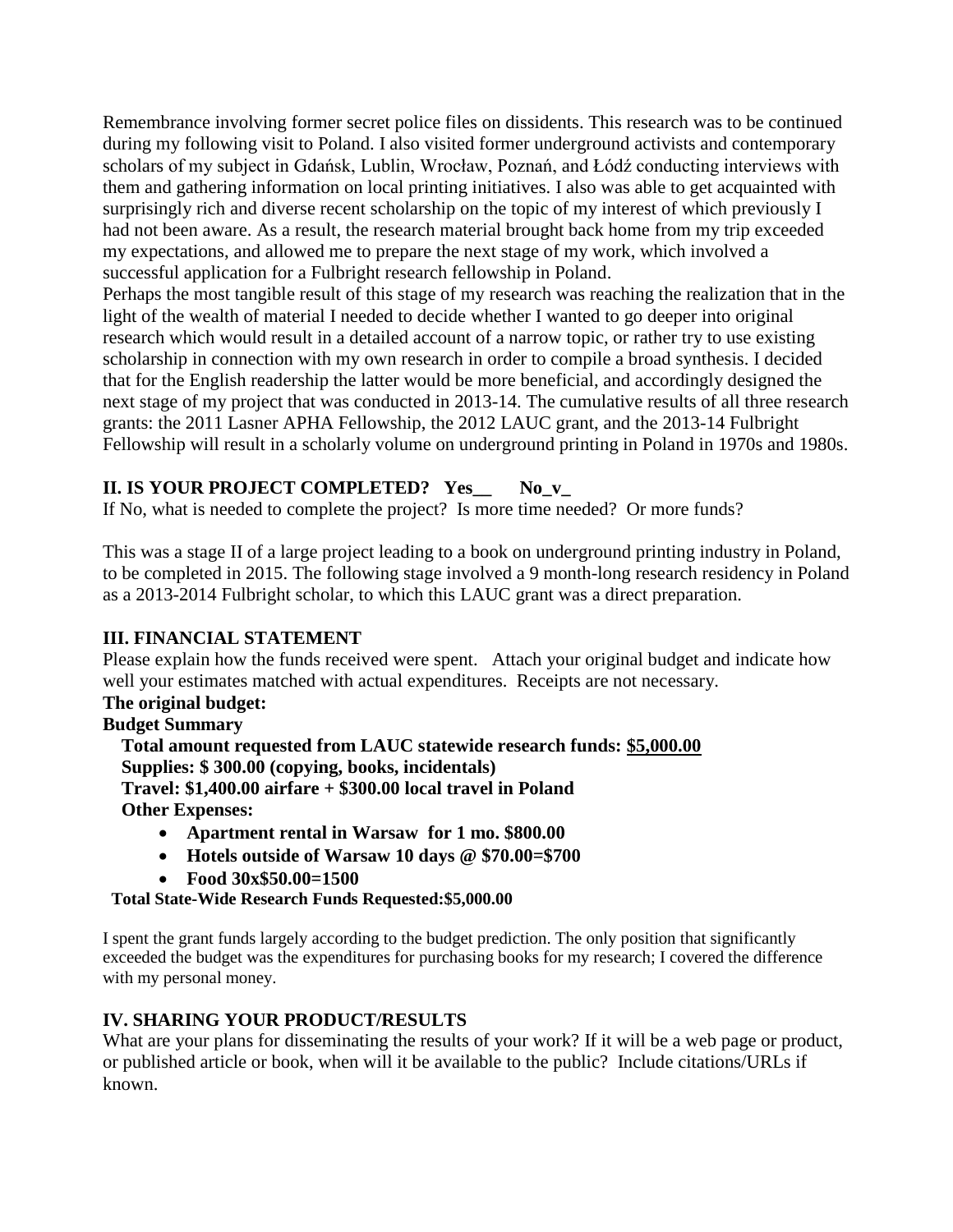Remembrance involving former secret police files on dissidents. This research was to be continued during my following visit to Poland. I also visited former underground activists and contemporary scholars of my subject in Gdańsk, Lublin, Wrocław, Poznań, and Łódź conducting interviews with them and gathering information on local printing initiatives. I also was able to get acquainted with surprisingly rich and diverse recent scholarship on the topic of my interest of which previously I had not been aware. As a result, the research material brought back home from my trip exceeded my expectations, and allowed me to prepare the next stage of my work, which involved a successful application for a Fulbright research fellowship in Poland.

Perhaps the most tangible result of this stage of my research was reaching the realization that in the light of the wealth of material I needed to decide whether I wanted to go deeper into original research which would result in a detailed account of a narrow topic, or rather try to use existing scholarship in connection with my own research in order to compile a broad synthesis. I decided that for the English readership the latter would be more beneficial, and accordingly designed the next stage of my project that was conducted in 2013-14. The cumulative results of all three research grants: the 2011 Lasner APHA Fellowship, the 2012 LAUC grant, and the 2013-14 Fulbright Fellowship will result in a scholarly volume on underground printing in Poland in 1970s and 1980s.

# **II. IS YOUR PROJECT COMPLETED? Yes\_\_ No\_v\_**

If No, what is needed to complete the project? Is more time needed? Or more funds?

This was a stage II of a large project leading to a book on underground printing industry in Poland, to be completed in 2015. The following stage involved a 9 month-long research residency in Poland as a 2013-2014 Fulbright scholar, to which this LAUC grant was a direct preparation.

### **III. FINANCIAL STATEMENT**

Please explain how the funds received were spent. Attach your original budget and indicate how well your estimates matched with actual expenditures. Receipts are not necessary.

# **The original budget:**

### **Budget Summary**

 **Total amount requested from LAUC statewide research funds: \$5,000.00 Supplies: \$ 300.00 (copying, books, incidentals) Travel: \$1,400.00 airfare + \$300.00 local travel in Poland Other Expenses:** 

- **Apartment rental in Warsaw for 1 mo. \$800.00**
- **Hotels outside of Warsaw 10 days @ \$70.00=\$700**
- **Food 30x\$50.00=1500**

 **Total State-Wide Research Funds Requested:\$5,000.00**

I spent the grant funds largely according to the budget prediction. The only position that significantly exceeded the budget was the expenditures for purchasing books for my research; I covered the difference with my personal money.

# **IV. SHARING YOUR PRODUCT/RESULTS**

What are your plans for disseminating the results of your work? If it will be a web page or product, or published article or book, when will it be available to the public? Include citations/URLs if known.